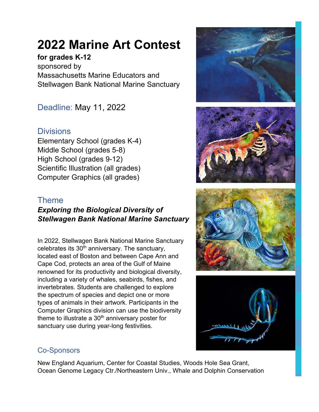## **2022 Marine Art Contest**

## **for grades K-12**

sponsored by Massachusetts Marine Educators and Stellwagen Bank National Marine Sanctuary

Deadline: May 11, 2022

## **Divisions**

Elementary School (grades K-4) Middle School (grades 5-8) High School (grades 9-12) Scientific Illustration (all grades) Computer Graphics (all grades)

## Theme

## *Exploring the Biological Diversity of Stellwagen Bank National Marine Sanctuary*

In 2022, Stellwagen Bank National Marine Sanctuary celebrates its  $30<sup>th</sup>$  anniversary. The sanctuary, located east of Boston and between Cape Ann and Cape Cod, protects an area of the Gulf of Maine renowned for its productivity and biological diversity, including a variety of whales, seabirds, fishes, and invertebrates. Students are challenged to explore the spectrum of species and depict one or more types of animals in their artwork. Participants in the Computer Graphics division can use the biodiversity theme to illustrate a  $30<sup>th</sup>$  anniversary poster for sanctuary use during year-long festivities.









## Co-Sponsors

New England Aquarium, Center for Coastal Studies, Woods Hole Sea Grant, Ocean Genome Legacy Ctr./Northeastern Univ., Whale and Dolphin Conservation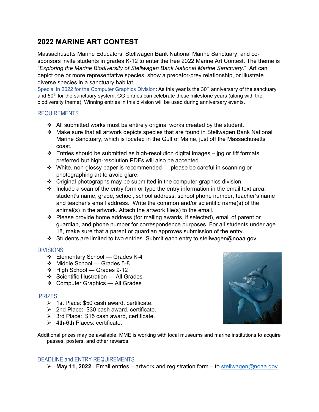### **2022 MARINE ART CONTEST**

Massachusetts Marine Educators, Stellwagen Bank National Marine Sanctuary, and cosponsors invite students in grades K-12 to enter the free 2022 Marine Art Contest. The theme is "*Exploring the Marine Biodiversity of Stellwagen Bank National Marine Sanctuary*." Art can depict one or more representative species, show a predator-prey relationship, or illustrate diverse species in a sanctuary habitat.

Special in 2022 for the Computer Graphics Division: As this year is the 30<sup>th</sup> anniversary of the sanctuary and 50<sup>th</sup> for the sanctuary system, CG entries can celebrate these milestone years (along with the biodiversity theme). Winning entries in this division will be used during anniversary events.

#### REQUIREMENTS

- $\div$  All submitted works must be entirely original works created by the student.
- Make sure that all artwork depicts species that are found in Stellwagen Bank National Marine Sanctuary, which is located in the Gulf of Maine, just off the Massachusetts coast.
- $\div$  Entries should be submitted as high-resolution digital images jpg or tiff formats preferred but high-resolution PDFs will also be accepted.
- $\cdot \cdot$  White, non-glossy paper is recommended please be careful in scanning or photographing art to avoid glare.
- Original photographs may be submitted in the computer graphics division.
- $\cdot$  Include a scan of the entry form or type the entry information in the email text area: student's name, grade, school, school address, school phone number, teacher's name and teacher's email address. Write the common and/or scientific name(s) of the animal(s) in the artwork. Attach the artwork file(s) to the email.
- Please provide home address (for mailing awards, if selected), email of parent or guardian, and phone number for correspondence purposes. For all students under age 18, make sure that a parent or guardian approves submission of the entry.
- Students are limited to two entries. Submit each entry to stellwagen@noaa.gov

#### DIVISIONS

- Elementary School Grades K-4
- Middle School Grades 5-8
- $\div$  High School Grades 9-12
- ❖ Scientific Illustration All Grades
- Computer Graphics All Grades

#### **PRIZES**

- $\geq$  1st Place: \$50 cash award, certificate.
- 2nd Place: \$30 cash award, certificate.
- $\triangleright$  3rd Place: \$15 cash award, certificate.
- $\geq$  4th-6th Places: certificate.

Additional prizes may be available. MME is working with local museums and marine institutions to acquire passes, posters, and other rewards.

#### DEADLINE and ENTRY REQUIREMENTS

**May 11, 2022**. Email entries – artwork and registration form – to [stellwagen@noaa.gov](mailto:stellwagen@noaa.gov)

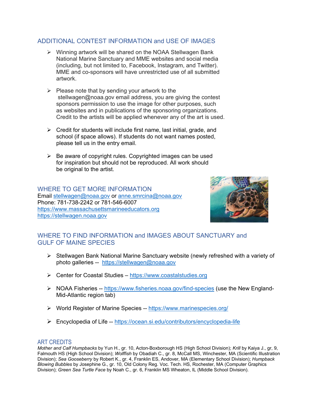#### ADDITIONAL CONTEST INFORMATION and USE OF IMAGES

- Winning artwork will be shared on the NOAA Stellwagen Bank National Marine Sanctuary and MME websites and social media (including, but not limited to, Facebook, Instagram, and Twitter). MME and co-sponsors will have unrestricted use of all submitted artwork.
- $\triangleright$  Please note that by sending your artwork to the stellwagen@noaa.gov email address, you are giving the contest sponsors permission to use the image for other purposes, such as websites and in publications of the sponsoring organizations. Credit to the artists will be applied whenever any of the art is used.
- $\triangleright$  Credit for students will include first name, last initial, grade, and school (if space allows). If students do not want names posted, please tell us in the entry email.
- $\triangleright$  Be aware of copyright rules. Copyrighted images can be used for inspiration but should not be reproduced. All work should be original to the artist.

#### WHERE TO GET MORE INFORMATION

Email [stellwagen@noaa.gov](mailto:stellwagen@noaa.gov) or [anne.smrcina@noaa.gov](mailto:anne.smrcina@noaa.gov) Phone: 781-738-2242 or 781-546-6007 [https://www.massachusettsmarineeducators.org](https://www.massachusettsmarineeducators.org/) [https://stellwagen.noaa.gov](https://stellwagen.noaa.gov/)



#### WHERE TO FIND INFORMATION and IMAGES ABOUT SANCTUARY and GULF OF MAINE SPECIES

- $\triangleright$  Stellwagen Bank National Marine Sanctuary website (newly refreshed with a variety of photo galleries -- <https://stellwagen@noaa.gov>
- Center for Coastal Studies – [https://www.coastalstudies.org](https://www.coastalstudies.org/)
- ▶ NOAA Fisheries --<https://www.fisheries.noaa.gov/find-species> (use the New England-Mid-Atlantic region tab)
- World Register of Marine Species --<https://www.marinespecies.org/>
- Encyclopedia of Life --<https://ocean.si.edu/contributors/encyclopedia-life>

#### ART CREDITS

*Mother and Calf Humpbacks* by Yun H., gr. 10, Acton-Boxborough HS (High School Division); *Krill* by Kaiya J., gr, 9, Falmouth HS (High School Division); *Wolffish* by Obadiah C., gr. 8, McCall MS, Winchester, MA (Scientific Illustration Division); *Sea Gooseberry* by Robert K., gr. 4, Franklin ES, Andover, MA (Elementary School Division); *Humpback Blowing Bubbles* by Josephine G., gr. 10, Old Colony Reg. Voc. Tech. HS, Rochester, MA (Computer Graphics Division); *Green Sea Turtle Face* by Noah C., gr. 6, Franklin MS Wheaton, IL (Middle School Division).